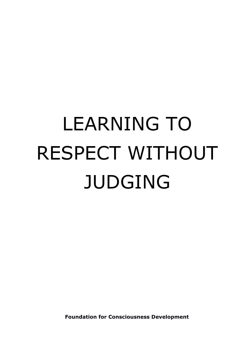# LEARNING TO RESPECT WITHOUT JUDGING

**Foundation for Consciousness Development**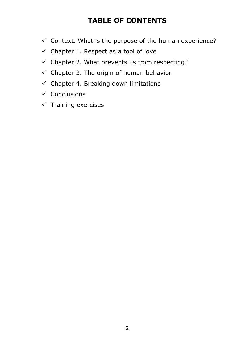# **TABLE OF CONTENTS**

- $\checkmark$  Context. What is the purpose of the human experience?
- $\checkmark$  Chapter 1. Respect as a tool of love
- $\checkmark$  Chapter 2. What prevents us from respecting?
- $\checkmark$  Chapter 3. The origin of human behavior
- $\checkmark$  Chapter 4. Breaking down limitations
- $\checkmark$  Conclusions
- $\checkmark$  Training exercises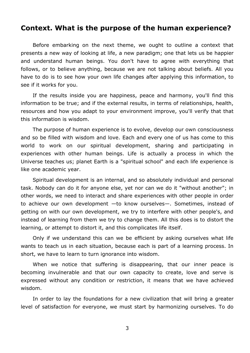## **Context. What is the purpose of the human experience?**

Before embarking on the next theme, we ought to outline a context that presents a new way of looking at life, a new paradigm; one that lets us be happier and understand human beings. You don't have to agree with everything that follows, or to believe anything, because we are not talking about beliefs. All you have to do is to see how your own life changes after applying this information, to see if it works for you.

If the results inside you are happiness, peace and harmony, you'll find this information to be true; and if the external results, in terms of relationships, health, resources and how you adapt to your environment improve, you'll verify that that this information is wisdom.

The purpose of human experience is to evolve, develop our own consciousness and so be filled with wisdom and love. Each and every one of us has come to this world to work on our spiritual development, sharing and participating in experiences with other human beings. Life is actually a process in which the Universe teaches us; planet Earth is a "spiritual school" and each life experience is like one academic year.

Spiritual development is an internal, and so absolutely individual and personal task. Nobody can do it for anyone else, yet nor can we do it "without another"; in other words, we need to interact and share experiences with other people in order to achieve our own development —to know ourselves—. Sometimes, instead of getting on with our own development, we try to interfere with other people's, and instead of learning from them we try to change them. All this does is to distort the learning, or attempt to distort it, and this complicates life itself.

Only if we understand this can we be efficient by asking ourselves what life wants to teach us in each situation, because each is part of a learning process. In short, we have to learn to turn ignorance into wisdom.

When we notice that suffering is disappearing, that our inner peace is becoming invulnerable and that our own capacity to create, love and serve is expressed without any condition or restriction, it means that we have achieved wisdom.

In order to lay the foundations for a new civilization that will bring a greater level of satisfaction for everyone, we must start by harmonizing ourselves. To do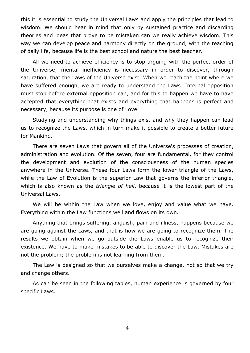this it is essential to study the Universal Laws and apply the principles that lead to wisdom. We should bear in mind that only by sustained practice and discarding theories and ideas that prove to be mistaken can we really achieve wisdom. This way we can develop peace and harmony directly on the ground, with the teaching of daily life, because life is the best school and nature the best teacher.

All we need to achieve efficiency is to stop arguing with the perfect order of the Universe; mental inefficiency is necessary in order to discover, through saturation, that the Laws of the Universe exist. When we reach the point where we have suffered enough, we are ready to understand the Laws. Internal opposition must stop before external opposition can, and for this to happen we have to have accepted that everything that exists and everything that happens is perfect and necessary, because its purpose is one of Love.

Studying and understanding why things exist and why they happen can lead us to recognize the Laws, which in turn make it possible to create a better future for Mankind.

There are seven Laws that govern all of the Universe's processes of creation, administration and evolution. Of the seven, four are fundamental, for they control the development and evolution of the consciousness of the human species anywhere in the Universe. These four Laws form the lower triangle of the Laws, while the Law of Evolution is the superior Law that governs the inferior triangle, which is also known as the *triangle of hell*, because it is the lowest part of the Universal Laws.

We will be within the Law when we love, enjoy and value what we have. Everything within the Law functions well and flows on its own.

Anything that brings suffering, anguish, pain and illness, happens because we are going against the Laws, and that is how we are going to recognize them. The results we obtain when we go outside the Laws enable us to recognize their existence. We have to make mistakes to be able to discover the Law. Mistakes are not the problem; the problem is not learning from them.

The Law is designed so that we ourselves make a change, not so that we try and change others.

As can be seen in the following tables, human experience is governed by four specific Laws.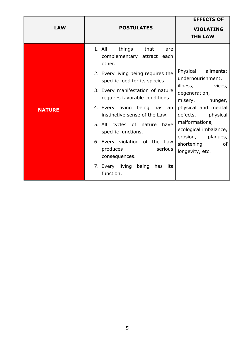| <b>LAW</b>    | <b>POSTULATES</b>                                                                                                                                                                                                                                                                                                                                                        | <b>EFFECTS OF</b><br><b>VIOLATING</b><br><b>THE LAW</b>                                                                                                                                                                        |
|---------------|--------------------------------------------------------------------------------------------------------------------------------------------------------------------------------------------------------------------------------------------------------------------------------------------------------------------------------------------------------------------------|--------------------------------------------------------------------------------------------------------------------------------------------------------------------------------------------------------------------------------|
| <b>NATURE</b> | 1. All<br>things that are<br>complementary attract each<br>other.<br>2. Every living being requires the<br>specific food for its species.<br>3. Every manifestation of nature<br>requires favorable conditions.<br>4. Every living being has an<br>instinctive sense of the Law.<br>5. All cycles of nature have<br>specific functions.<br>6. Every violation of the Law | Physical ailments:<br>undernourishment,<br>illness, vices,<br>degeneration,<br>misery, hunger,<br>physical and mental<br>defects, physical<br>malformations,<br>ecological imbalance,<br>erosion, plagues,<br>shortening<br>0f |
|               | produces<br>serious<br>consequences.<br>7. Every living being has its<br>function.                                                                                                                                                                                                                                                                                       | longevity, etc.                                                                                                                                                                                                                |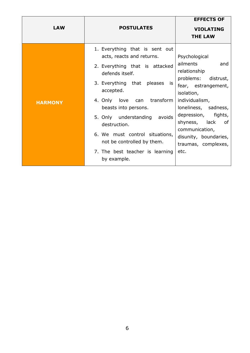| <b>LAW</b>     | <b>POSTULATES</b>                                                                                                                                                                                                                                                                                                                                                                                  | <b>EFFECTS OF</b><br><b>VIOLATING</b><br><b>THE LAW</b>                                                                                                                                                                                                                           |
|----------------|----------------------------------------------------------------------------------------------------------------------------------------------------------------------------------------------------------------------------------------------------------------------------------------------------------------------------------------------------------------------------------------------------|-----------------------------------------------------------------------------------------------------------------------------------------------------------------------------------------------------------------------------------------------------------------------------------|
| <b>HARMONY</b> | 1. Everything that is sent out<br>acts, reacts and returns.<br>2. Everything that is attacked<br>defends itself.<br>3. Everything that pleases<br>is<br>accepted.<br>4. Only love<br>transform<br>can<br>beasts into persons.<br>5. Only understanding<br>avoids<br>destruction.<br>6. We must control situations,<br>not be controlled by them.<br>7. The best teacher is learning<br>by example. | Psychological<br>ailments<br>and<br>relationship<br>problems:<br>distrust,<br>fear, estrangement,<br>isolation,<br>individualism,<br>loneliness, sadness,<br>depression, fights,<br>shyness, lack<br>0f<br>communication,<br>disunity, boundaries,<br>traumas, complexes,<br>etc. |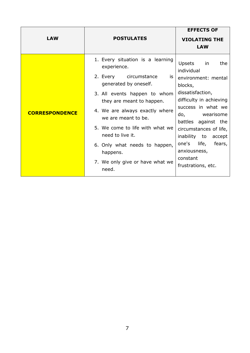| <b>LAW</b>            | <b>POSTULATES</b>                                                                                                                                                                                                                                                                                                                                                             | <b>EFFECTS OF</b><br><b>VIOLATING THE</b>                                                                                                                                                                                                                                                                 |
|-----------------------|-------------------------------------------------------------------------------------------------------------------------------------------------------------------------------------------------------------------------------------------------------------------------------------------------------------------------------------------------------------------------------|-----------------------------------------------------------------------------------------------------------------------------------------------------------------------------------------------------------------------------------------------------------------------------------------------------------|
|                       |                                                                                                                                                                                                                                                                                                                                                                               | <b>LAW</b>                                                                                                                                                                                                                                                                                                |
| <b>CORRESPONDENCE</b> | 1. Every situation is a learning<br>experience.<br>2. Every circumstance<br>is<br>generated by oneself.<br>3. All events happen to whom<br>they are meant to happen.<br>4. We are always exactly where<br>we are meant to be.<br>5. We come to life with what we<br>need to live it.<br>6. Only what needs to happen,<br>happens.<br>7. We only give or have what we<br>need. | Upsets in<br>the<br>individual<br>environment: mental<br>blocks,<br>dissatisfaction,<br>difficulty in achieving<br>success in what we<br>do,<br>wearisome<br>battles against the<br>circumstances of life,<br>inability to accept<br>one's life, fears,<br>anxiousness,<br>constant<br>frustrations, etc. |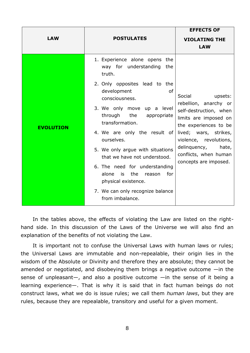|                                 |                                                                                                                                                                                                                                                                                                                                                                                                                                                                                                           | <b>EFFECTS OF</b>                                                                                                                                                                                                                                    |
|---------------------------------|-----------------------------------------------------------------------------------------------------------------------------------------------------------------------------------------------------------------------------------------------------------------------------------------------------------------------------------------------------------------------------------------------------------------------------------------------------------------------------------------------------------|------------------------------------------------------------------------------------------------------------------------------------------------------------------------------------------------------------------------------------------------------|
| <b>LAW</b><br><b>POSTULATES</b> |                                                                                                                                                                                                                                                                                                                                                                                                                                                                                                           | <b>VIOLATING THE</b><br><b>LAW</b>                                                                                                                                                                                                                   |
| <b>EVOLUTION</b>                | 1. Experience alone opens<br>the<br>way for understanding the<br>truth.<br>2. Only opposites lead to the<br>of<br>development<br>consciousness.<br>3. We only move up a level<br>through<br>the<br>appropriate<br>transformation.<br>4. We are only the result of<br>ourselves.<br>5. We only argue with situations<br>that we have not understood.<br>6. The need for understanding<br>alone<br>is<br>the<br>for<br>reason<br>physical existence.<br>7. We can only recognize balance<br>from imbalance. | Social<br>upsets:<br>rebellion, anarchy or<br>self-destruction, when<br>limits are imposed on<br>the experiences to be<br>lived; wars, strikes,<br>violence, revolutions,<br>delinquency,<br>hate,<br>conflicts, when human<br>concepts are imposed. |

In the tables above, the effects of violating the Law are listed on the righthand side. In this discussion of the Laws of the Universe we will also find an explanation of the benefits of not violating the Law.

It is important not to confuse the Universal Laws with human laws or rules; the Universal Laws are immutable and non-repealable, their origin lies in the wisdom of the Absolute or Divinity and therefore they are absolute; they cannot be amended or negotiated, and disobeying them brings a negative outcome —in the sense of unpleasant—, and also a positive outcome —in the sense of it being a learning experience—. That is why it is said that in fact human beings do not construct laws, what we do is issue rules; we call them *human laws*, but they are rules, because they are repealable, transitory and useful for a given moment.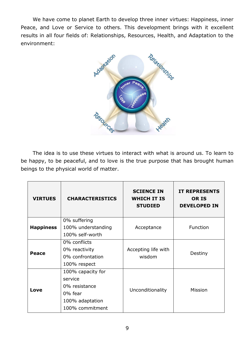We have come to planet Earth to develop three inner virtues: Happiness, inner Peace, and Love or Service to others. This development brings with it excellent results in all four fields of: Relationships, Resources, Health, and Adaptation to the environment:



The idea is to use these virtues to interact with what is around us. To learn to be happy, to be peaceful, and to love is the true purpose that has brought human beings to the physical world of matter.

| <b>VIRTUES</b>   | <b>CHARACTERISTICS</b>                                                                         | <b>SCIENCE IN</b><br><b>WHICH IT IS</b><br><b>STUDIED</b> | <b>IT REPRESENTS</b><br><b>OR IS</b><br><b>DEVELOPED IN</b> |
|------------------|------------------------------------------------------------------------------------------------|-----------------------------------------------------------|-------------------------------------------------------------|
| <b>Happiness</b> | 0% suffering<br>100% understanding<br>100% self-worth                                          | Acceptance                                                | Function                                                    |
| Peace            | 0% conflicts<br>0% reactivity<br>0% confrontation<br>100% respect                              | Accepting life with<br>wisdom                             | Destiny                                                     |
| Love             | 100% capacity for<br>service<br>0% resistance<br>0% fear<br>100% adaptation<br>100% commitment | Unconditionality                                          | <b>Mission</b>                                              |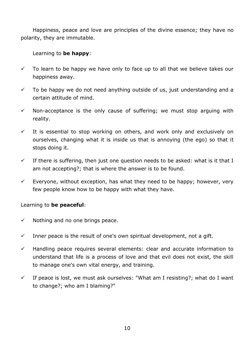Happiness, peace and love are principles of the divine essence; they have no polarity, they are immutable.

## Learning to **be happy**:

- $\checkmark$  To learn to be happy we have only to face up to all that we believe takes our happiness away.
- $\checkmark$  To be happy we do not need anything outside of us, just understanding and a certain attitude of mind.
- $\checkmark$  Non-acceptance is the only cause of suffering; we must stop arguing with reality.
- $\checkmark$  It is essential to stop working on others, and work only and exclusively on ourselves, changing what it is inside us that is annoying (the ego) so that it stops doing it.
- $\checkmark$  If there is suffering, then just one question needs to be asked: what is it that I am not accepting?; that is where the answer is to be found.
- $\checkmark$  Everyone, without exception, has what they need to be happy; however, very few people know how to be happy with what they have.

## Learning to **be peaceful**:

- $\checkmark$  Nothing and no one brings peace.
- $\checkmark$  Inner peace is the result of one's own spiritual development, not a gift.
- $\checkmark$  Handling peace requires several elements: clear and accurate information to understand that life is a process of love and that evil does not exist, the skill to manage one's own vital energy, and training.
- $\checkmark$  If peace is lost, we must ask ourselves: "What am I resisting?; what do I want to change?; who am I blaming?"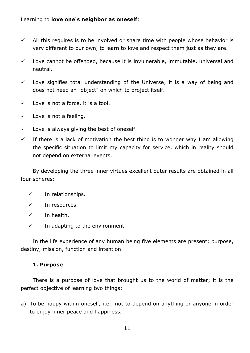## Learning to **love one's neighbor as oneself**:

- $\checkmark$  All this requires is to be involved or share time with people whose behavior is very different to our own, to learn to love and respect them just as they are.
- $\checkmark$  Love cannot be offended, because it is invulnerable, immutable, universal and neutral.
- $\checkmark$  Love signifies total understanding of the Universe; it is a way of being and does not need an "object" on which to project itself.
- $\checkmark$  Love is not a force, it is a tool.
- $\checkmark$  Love is not a feeling.
- $\checkmark$  Love is always giving the best of oneself.
- $\checkmark$  If there is a lack of motivation the best thing is to wonder why I am allowing the specific situation to limit my capacity for service, which in reality should not depend on external events.

By developing the three inner virtues excellent outer results are obtained in all four spheres:

- $\checkmark$  In relationships.
- $\checkmark$  In resources.
- $\checkmark$  In health.
- $\checkmark$  In adapting to the environment.

In the life experience of any human being five elements are present: purpose, destiny, mission, function and intention.

## **1. Purpose**

There is a purpose of love that brought us to the world of matter; it is the perfect objective of learning two things:

a) To be happy within oneself*,* i.e., not to depend on anything or anyone in order to enjoy inner peace and happiness.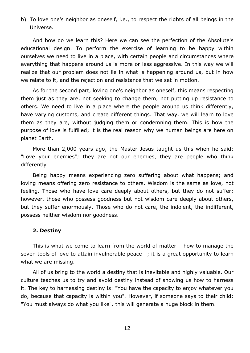b) To love one's neighbor as oneself, i.e., to respect the rights of all beings in the Universe.

And how do we learn this? Here we can see the perfection of the Absolute's educational design. To perform the exercise of learning to be happy within ourselves we need to live in a place, with certain people and circumstances where everything that happens around us is more or less aggressive. In this way we will realize that our problem does not lie in what is happening around us, but in how we relate to it, and the rejection and resistance that we set in motion.

As for the second part, loving one's neighbor as oneself, this means respecting them just as they are, not seeking to change them, not putting up resistance to others. We need to live in a place where the people around us think differently, have varying customs, and create different things. That way, we will learn to love them as they are, without judging them or condemning them. This is how the purpose of love is fulfilled; it is the real reason why we human beings are here on planet Earth.

More than 2,000 years ago, the Master Jesus taught us this when he said: "Love your enemies"; they are not our enemies, they are people who think differently.

Being happy means experiencing zero suffering about what happens; and loving means offering zero resistance to others. Wisdom is the same as love, not feeling. Those who have love care deeply about others, but they do not suffer; however, those who possess goodness but not wisdom care deeply about others, but they suffer enormously. Those who do not care, the indolent, the indifferent, possess neither wisdom nor goodness.

#### **2. Destiny**

This is what we come to learn from the world of matter —how to manage the seven tools of love to attain invulnerable peace—; it is a great opportunity to learn what we are missing.

All of us bring to the world a destiny that is inevitable and highly valuable. Our culture teaches us to try and avoid destiny instead of showing us how to harness it. The key to harnessing destiny is: "You have the capacity to enjoy whatever you do, because that capacity is within you"*.* However, if someone says to their child: "You must always do what you like"*,* this will generate a huge block in them.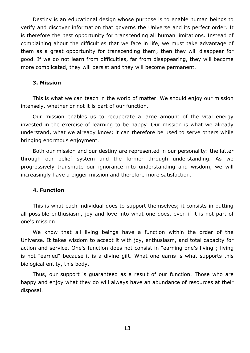Destiny is an educational design whose purpose is to enable human beings to verify and discover information that governs the Universe and its perfect order. It is therefore the best opportunity for transcending all human limitations. Instead of complaining about the difficulties that we face in life, we must take advantage of them as a great opportunity for transcending them; then they will disappear for good. If we do not learn from difficulties, far from disappearing, they will become more complicated, they will persist and they will become permanent.

#### **3. Mission**

This is what we can teach in the world of matter. We should enjoy our mission intensely, whether or not it is part of our function.

Our mission enables us to recuperate a large amount of the vital energy invested in the exercise of learning to be happy. Our mission is what we already understand, what we already know; it can therefore be used to serve others while bringing enormous enjoyment.

Both our mission and our destiny are represented in our personality: the latter through our belief system and the former through understanding. As we progressively transmute our ignorance into understanding and wisdom, we will increasingly have a bigger mission and therefore more satisfaction.

#### **4. Function**

This is what each individual does to support themselves; it consists in putting all possible enthusiasm, joy and love into what one does, even if it is not part of one's mission.

We know that all living beings have a function within the order of the Universe. It takes wisdom to accept it with joy, enthusiasm, and total capacity for action and service. One's function does not consist in "earning one's living"; living is not "earned" because it is a divine gift. What one earns is what supports this biological entity, this body.

Thus, our support is guaranteed as a result of our function. Those who are happy and enjoy what they do will always have an abundance of resources at their disposal.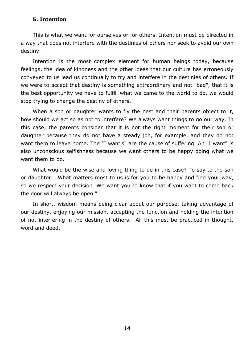#### **5. Intention**

This is what we want for ourselves or for others. Intention must be directed in a way that does not interfere with the destinies of others nor seek to avoid our own destiny.

Intention is the most complex element for human beings today, because feelings, the idea of kindness and the other ideas that our culture has erroneously conveyed to us lead us continually to try and interfere in the destinies of others. If we were to accept that destiny is something extraordinary and not "bad", that it is the best opportunity we have to fulfill what we came to the world to do, we would stop trying to change the destiny of others.

When a son or daughter wants to fly the nest and their parents object to it, how should we act so as not to interfere? We always want things to go our way. In this case, the parents consider that it is not the right moment for their son or daughter because they do not have a steady job, for example, and they do not want them to leave home. The "I want's" are the cause of suffering. An "I want" is also unconscious selfishness because we want others to be happy doing what we want them to do.

What would be the wise and loving thing to do in this case? To say to the son or daughter: "What matters most to us is for you to be happy and find your way, so we respect your decision. We want you to know that if you want to come back the door will always be open."

In short, wisdom means being clear about our purpose, taking advantage of our destiny, enjoying our mission, accepting the function and holding the intention of not interfering in the destiny of others. All this must be practiced in thought, word and deed.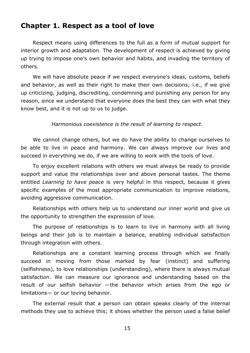## **Chapter 1. Respect as a tool of love**

Respect means using differences to the full as a form of mutual support for interior growth and adaptation. The development of respect is achieved by giving up trying to impose one's own behavior and habits, and invading the territory of others.

We will have absolute peace if we respect everyone's ideas, customs, beliefs and behavior, as well as their right to make their own decisions; i.e., if we give up criticizing, judging, discrediting, condemning and punishing any person for any reason, since we understand that everyone does the best they can with what they know best, and it is not up to us to judge.

*Harmonious coexistence is the result of learning to respect.*

We cannot change others, but we do have the ability to change ourselves to be able to live in peace and harmony. We can always improve our lives and succeed in everything we do, if we are willing to work with the tools of love.

To enjoy excellent relations with others we must always be ready to provide support and value the relationships over and above personal tastes. The theme entitled *Learning to have peace* is very helpful in this respect, because it gives specific examples of the most appropriate communication to improve relations, avoiding aggressive communication.

Relationships with others help us to understand our inner world and give us the opportunity to strengthen the expression of love.

The purpose of relationships is to learn to live in harmony with all living beings and their job is to maintain a balance, enabling individual satisfaction through integration with others.

Relationships are a constant learning process through which we finally succeed in moving from those marked by fear (instinct) and suffering (selfishness), to love relationships (understanding), where there is always mutual satisfaction. We can measure our ignorance and understanding based on the result of our selfish behavior —the behavior which arises from the ego or limitations— or our loving behavior.

The external result that a person can obtain speaks clearly of the internal methods they use to achieve this; it shows whether the person used a false belief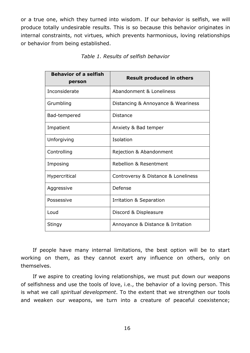or a true one, which they turned into wisdom. If our behavior is selfish, we will produce totally undesirable results. This is so because this behavior originates in internal constraints, not virtues, which prevents harmonious, loving relationships or behavior from being established.

| <b>Behavior of a selfish</b><br>person | <b>Result produced in others</b>    |
|----------------------------------------|-------------------------------------|
| Inconsiderate                          | Abandonment & Loneliness            |
| Grumbling                              | Distancing & Annoyance & Weariness  |
| Bad-tempered                           | Distance                            |
| Impatient                              | Anxiety & Bad temper                |
| Unforgiving                            | Isolation                           |
| Controlling                            | Rejection & Abandonment             |
| Imposing                               | Rebellion & Resentment              |
| Hypercritical                          | Controversy & Distance & Loneliness |
| Aggressive                             | Defense                             |
| Possessive                             | Irritation & Separation             |
| Loud                                   | Discord & Displeasure               |
| Stingy                                 | Annoyance & Distance & Irritation   |

If people have many internal limitations, the best option will be to start working on them, as they cannot exert any influence on others, only on themselves.

If we aspire to creating loving relationships, we must put down our weapons of selfishness and use the tools of love, i.e., the behavior of a loving person. This is what we call *spiritual development*. To the extent that we strengthen our tools and weaken our weapons, we turn into a creature of peaceful coexistence;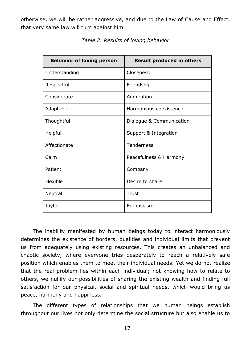otherwise, we will be rather aggressive, and due to the Law of Cause and Effect, that very same law will turn against him.

| <b>Behavior of loving person</b> | <b>Result produced in others</b> |
|----------------------------------|----------------------------------|
| Understanding                    | Closeness                        |
| Respectful                       | Friendship                       |
| Considerate                      | Admiration                       |
| Adaptable                        | Harmonious coexistence           |
| Thoughtful                       | Dialogue & Communication         |
| Helpful                          | Support & Integration            |
| Affectionate                     | Tenderness                       |
| Calm                             | Peacefulness & Harmony           |
| Patient                          | Company                          |
| Flexible                         | Desire to share                  |
| <b>Neutral</b>                   | Trust                            |
| Joyful                           | Enthusiasm                       |

*Table 2. Results of loving behavior*

The inability manifested by human beings today to interact harmoniously determines the existence of borders, qualities and individual limits that prevent us from adequately using existing resources. This creates an unbalanced and chaotic society, where everyone tries desperately to reach a relatively safe position which enables them to meet their individual needs. Yet we do not realize that the real problem lies within each individual; not knowing how to relate to others, we nullify our possibilities of sharing the existing wealth and finding full satisfaction for our physical, social and spiritual needs, which would bring us peace, harmony and happiness.

The different types of relationships that we human beings establish throughout our lives not only determine the social structure but also enable us to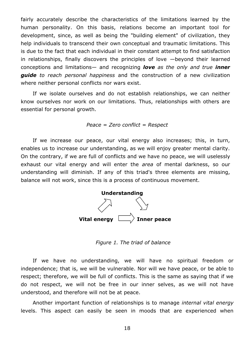fairly accurately describe the characteristics of the limitations learned by the human personality. On this basis, relations become an important tool for development, since, as well as being the "building element" of civilization, they help individuals to transcend their own conceptual and traumatic limitations. This is due to the fact that each individual in their constant attempt to find satisfaction in relationships, finally discovers the principles of love —beyond their learned conceptions and limitations— and recognizing *love as the only and true inner guide to reach personal happiness* and the construction of a new civilization where neither personal conflicts nor wars exist.

If we isolate ourselves and do not establish relationships, we can neither know ourselves nor work on our limitations. Thus, relationships with others are essential for personal growth.

#### *Peace = Zero conflict = Respect*

If we increase our peace, our vital energy also increases; this, in turn, enables us to increase our understanding, as we will enjoy greater mental clarity. On the contrary, if we are full of conflicts and we have no peace, we will uselessly exhaust our vital energy and will enter the *area* of mental darkness, so our understanding will diminish. If any of this triad's three elements are missing, balance will not work, since this is a process of continuous movement.



*Figure 1. The triad of balance*

If we have no understanding, we will have no spiritual freedom or independence; that is, we will be vulnerable. Nor will we have peace, or be able to respect; therefore, we will be full of conflicts. This is the same as saying that if we do not respect, we will not be free in our inner selves, as we will not have understood, and therefore will not be at peace.

Another important function of relationships is to manage *internal vital energy* levels. This aspect can easily be seen in moods that are experienced when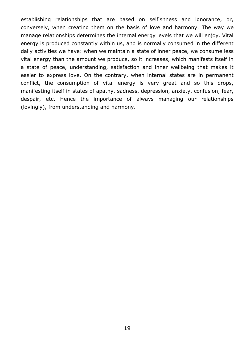establishing relationships that are based on selfishness and ignorance, or, conversely, when creating them on the basis of love and harmony. The way we manage relationships determines the internal energy levels that we will enjoy. Vital energy is produced constantly within us, and is normally consumed in the different daily activities we have: when we maintain a state of inner peace, we consume less vital energy than the amount we produce, so it increases, which manifests itself in a state of peace, understanding, satisfaction and inner wellbeing that makes it easier to express love. On the contrary, when internal states are in permanent conflict, the consumption of vital energy is very great and so this drops, manifesting itself in states of apathy, sadness, depression, anxiety, confusion, fear, despair, etc. Hence the importance of always managing our relationships (lovingly), from understanding and harmony.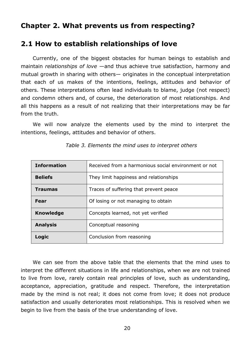## **Chapter 2. What prevents us from respecting?**

## **2.1 How to establish relationships of love**

Currently, one of the biggest obstacles for human beings to establish and maintain *relationships of love* —and thus achieve true satisfaction, harmony and mutual growth in sharing with others— originates in the conceptual interpretation that each of us makes of the intentions, feelings, attitudes and behavior of others. These interpretations often lead individuals to blame, judge (not respect) and condemn others and, of course, the deterioration of most relationships. And all this happens as a result of not realizing that their interpretations may be far from the truth.

We will now analyze the elements used by the mind to interpret the intentions, feelings, attitudes and behavior of others.

| <b>Information</b> | Received from a harmonious social environment or not |  |
|--------------------|------------------------------------------------------|--|
| <b>Beliefs</b>     | They limit happiness and relationships               |  |
| <b>Traumas</b>     | Traces of suffering that prevent peace               |  |
| Fear               | Of losing or not managing to obtain                  |  |
| <b>Knowledge</b>   | Concepts learned, not yet verified                   |  |
| <b>Analysis</b>    | Conceptual reasoning                                 |  |
| Logic              | Conclusion from reasoning                            |  |

*Table 3. Elements the mind uses to interpret others*

We can see from the above table that the elements that the mind uses to interpret the different situations in life and relationships, when we are not trained to live from love, rarely contain real principles of love, such as understanding, acceptance, appreciation, gratitude and respect. Therefore, the interpretation made by the mind is not real; it does not come from love; it does not produce satisfaction and usually deteriorates most relationships. This is resolved when we begin to live from the basis of the true understanding of love.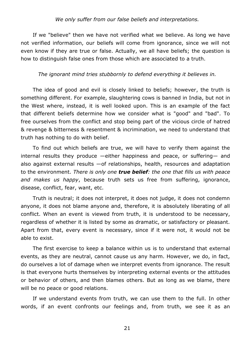#### *We only suffer from our false beliefs and interpretations.*

If we "believe" then we have not verified what we believe. As long we have not verified information, our beliefs will come from ignorance, since we will not even know if they are true or false. Actually, we all have beliefs; the question is how to distinguish false ones from those which are associated to a truth.

#### *The ignorant mind tries stubbornly to defend everything it believes in.*

The idea of good and evil is closely linked to beliefs; however, the truth is something different. For example, slaughtering cows is banned in India, but not in the West where, instead, it is well looked upon. This is an example of the fact that different beliefs determine how we consider what is "good" and "bad". To free ourselves from the conflict and stop being part of the vicious circle of hatred & revenge & bitterness & resentment & incrimination, we need to understand that truth has nothing to do with belief.

To find out which beliefs are true, we will have to verify them against the internal results they produce —either happiness and peace, or suffering— and also against external results —of relationships, health, resources and adaptation to the environment. *There is only one true belief: the one that fills us with peace and makes us happy*, because truth sets us free from suffering, ignorance, disease, conflict, fear, want, etc.

Truth is neutral; it does not interpret, it does not judge, it does not condemn anyone, it does not blame anyone and, therefore, it is absolutely liberating of all conflict. When an event is viewed from truth, it is understood to be necessary, regardless of whether it is listed by some as dramatic, or satisfactory or pleasant. Apart from that, every event is necessary, since if it were not, it would not be able to exist.

The first exercise to keep a balance within us is to understand that external events, as they are neutral, cannot cause us any harm. However, we do, in fact, do ourselves a lot of damage when we interpret events from ignorance. The result is that everyone hurts themselves by interpreting external events or the attitudes or behavior of others, and then blames others. But as long as we blame, there will be no peace or good relations.

If we understand events from truth, we can use them to the full. In other words, if an event confronts our feelings and, from truth, we see it as an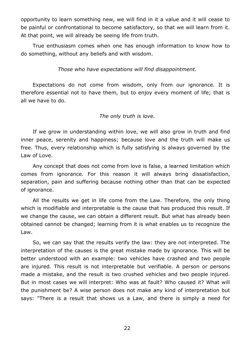opportunity to learn something new, we will find in it a value and it will cease to be painful or confrontational to become satisfactory, so that we will learn from it. At that point, we will already be seeing life from truth.

True enthusiasm comes when one has enough information to know how to do something, without any beliefs and with wisdom.

*Those who have expectations will find disappointment.* 

Expectations do not come from wisdom, only from our ignorance. It is therefore essential not to have them, but to enjoy every moment of life; that is all we have to do.

## *The only truth is love.*

If we grow in understanding within love, we will also grow in truth and find inner peace, serenity and happiness; because love and the truth will make us free. Thus, every relationship which is fully satisfying is always governed by the Law of Love.

Any concept that does not come from love is false, a learned limitation which comes from ignorance. For this reason it will always bring dissatisfaction, separation, pain and suffering because nothing other than that can be expected of ignorance.

All the results we get in life come from the Law. Therefore, the only thing which is modifiable and interpretable is the cause that has produced this result. If we change the cause, we can obtain a different result. But what has already been obtained cannot be changed; learning from it is what enables us to recognize the Law.

So, we can say that the results verify the law: they are not interpreted. The interpretation of the causes is the great mistake made by ignorance. This will be better understood with an example: two vehicles have crashed and two people are injured. This result is not interpretable but verifiable. A person or persons made a mistake, and the result is two crushed vehicles and two people injured. But in most cases we will interpret: Who was at fault? Who caused it? What will the punishment be? A wise person does not make any kind of interpretation but says: "There is a result that shows us a Law, and there is simply a need for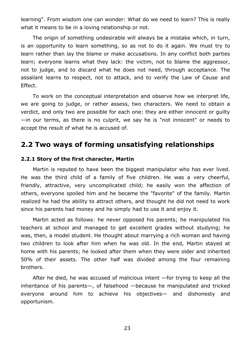learning". From wisdom one can wonder: What do we need to learn? This is really what it means to be in a loving relationship or not.

The origin of something undesirable will always be a mistake which, in turn, is an opportunity to learn something, so as not to do it again. We must try to learn rather than lay the blame or make accusations. In any conflict both parties learn; everyone learns what they lack: the victim, not to blame the aggressor, not to judge, and to discard what he does not need, through acceptance. The assailant learns to respect, not to attack, and to verify the Law of Cause and Effect.

To work on the conceptual interpretation and observe how we interpret life, we are going to judge, or rather assess, two characters. We need to obtain a verdict, and only two are possible for each one: they are either innocent or guilty —in our terms, as there is no culprit, we say he is "not innocent" or needs to accept the result of what he is accused of.

# **2.2 Two ways of forming unsatisfying relationships**

#### **2.2.1 Story of the first character, Martin**

Martin is reputed to have been the biggest manipulator who has ever lived. He was the third child of a family of five children. He was a very cheerful, friendly, attractive, very uncomplicated child; he easily won the affection of others, everyone spoiled him and he became the "favorite" of the family. Martin realized he had the ability to attract others, and thought he did not need to work since his parents had money and he simply had to use it and enjoy it.

Martin acted as follows: he never opposed his parents; he manipulated his teachers at school and managed to get excellent grades without studying; he was, then, a model student. He thought about marrying a rich woman and having two children to look after him when he was old. In the end, Martin stayed at home with his parents; he looked after them when they were older and inherited 50% of their assets. The other half was divided among the four remaining brothers.

After he died, he was accused of malicious intent —for trying to keep all the inheritance of his parents—, of falsehood —because he manipulated and tricked everyone around him to achieve his objectives— and dishonesty and opportunism.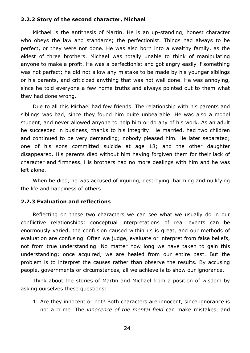#### **2.2.2 Story of the second character, Michael**

Michael is the antithesis of Martin. He is an up-standing, honest character who obeys the law and standards; the perfectionist. Things had always to be perfect, or they were not done. He was also born into a wealthy family, as the eldest of three brothers. Michael was totally unable to think of manipulating anyone to make a profit. He was a perfectionist and got angry easily if something was not perfect; he did not allow any mistake to be made by his younger siblings or his parents, and criticized anything that was not well done. He was annoying, since he told everyone a few home truths and always pointed out to them what they had done wrong.

Due to all this Michael had few friends. The relationship with his parents and siblings was bad, since they found him quite unbearable. He was also a model student, and never allowed anyone to help him or do any of his work. As an adult he succeeded in business, thanks to his integrity. He married, had two children and continued to be very demanding; nobody pleased him. He later separated; one of his sons committed suicide at age 18; and the other daughter disappeared. His parents died without him having forgiven them for their lack of character and firmness. His brothers had no more dealings with him and he was left alone.

When he died, he was accused of injuring, destroying, harming and nullifying the life and happiness of others.

#### **2.2.3 Evaluation and reflections**

Reflecting on these two characters we can see what we usually do in our conflictive relationships: conceptual interpretations of real events can be enormously varied, the confusion caused within us is great, and our methods of evaluation are confusing. Often we judge, evaluate or interpret from false beliefs, not from true understanding. No matter how long we have taken to gain this understanding; once acquired, we are healed from our entire past. But the problem is to interpret the causes rather than observe the results. By accusing people, governments or circumstances, all we achieve is to show our ignorance.

Think about the stories of Martin and Michael from a position of wisdom by asking ourselves these questions:

1. Are they innocent or not? Both characters are innocent, since ignorance is not a crime. The *innocence of the mental field* can make mistakes, and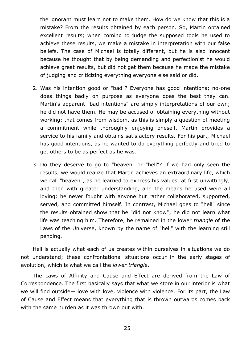the ignorant must learn not to make them. How do we know that this is a mistake? From the results obtained by each person. So, Martin obtained excellent results; when coming to judge the supposed tools he used to achieve these results, we make a mistake in interpretation with our false beliefs. The case of Michael is totally different, but he is also innocent because he thought that by being demanding and perfectionist he would achieve great results, but did not get them because he made the mistake of judging and criticizing everything everyone else said or did.

- 2. Was his intention good or "bad"? Everyone has good intentions; no-one does things badly on purpose as everyone does the best they can. Martin's apparent "bad intentions" are simply interpretations of our own; he did not have them. He may be accused of obtaining everything without working; that comes from wisdom, as this is simply a question of meeting a commitment while thoroughly enjoying oneself. Martin provides a service to his family and obtains satisfactory results. For his part, Michael has good intentions, as he wanted to do everything perfectly and tried to get others to be as perfect as he was.
- 3. Do they deserve to go to "heaven" or "hell"? If we had only seen the results, we would realize that Martin achieves an extraordinary life, which we call "heaven", as he learned to express his values, at first unwittingly, and then with greater understanding, and the means he used were all loving: he never fought with anyone but rather collaborated, supported, served, and committed himself. In contrast, Michael goes to "hell" since the results obtained show that he "did not know"; he did not learn what life was teaching him. Therefore, he remained in the lower *triangle* of the Laws of the Universe, known by the name of "hell" with the learning still pending.

Hell is actually what each of us creates within ourselves in situations we do not understand; these confrontational situations occur in the early stages of evolution, which is what we call the *lower triangle*.

The Laws of Affinity and Cause and Effect are derived from the Law of Correspondence. The first basically says that what we store in our interior is what we will find outside— love with love, violence with violence. For its part, the Law of Cause and Effect means that everything that is thrown outwards comes back with the same burden as it was thrown out with.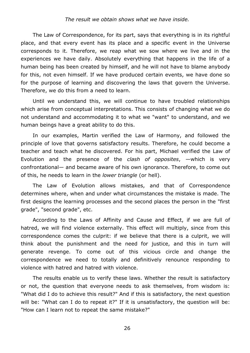#### *The result we obtain shows what we have inside.*

The Law of Correspondence, for its part, says that everything is in its rightful place, and that every event has its place and a specific event in the Universe corresponds to it. Therefore, we reap what we sow where we live and in the experiences we have daily. Absolutely everything that happens in the life of a human being has been created by himself, and he will not have to blame anybody for this, not even himself. If we have produced certain events, we have done so for the purpose of learning and discovering the laws that govern the Universe. Therefore, we do this from a need to learn.

Until we understand this, we will continue to have troubled relationships which arise from conceptual interpretations. This consists of changing what we do not understand and accommodating it to what we "want" to understand, and we human beings have a great ability to do this.

In our examples, Martin verified the Law of Harmony, and followed the principle of love that governs satisfactory results. Therefore, he could become a teacher and teach what he discovered. For his part, Michael verified the Law of Evolution and the presence of the *clash of opposites*, —which is very confrontational— and became aware of his own ignorance. Therefore, to come out of this, he needs to learn in the *lower triangle* (or hell).

The Law of Evolution allows mistakes, and that of Correspondence determines where, when and under what circumstances the mistake is made. The first designs the learning processes and the second places the person in the "first grade", "second grade", etc.

According to the Laws of Affinity and Cause and Effect, if we are full of hatred, we will find violence externally. This effect will multiply, since from this correspondence comes the culprit: if we believe that there is a culprit, we will think about the punishment and the need for justice, and this in turn will generate revenge. To come out of this vicious circle and change the correspondence we need to totally and definitively renounce responding to violence with hatred and hatred with violence.

The results enable us to verify these laws. Whether the result is satisfactory or not, the question that everyone needs to ask themselves, from wisdom is: "What did I do to achieve this result?" And if this is satisfactory, the next question will be: "What can I do to repeat it?" If it is unsatisfactory, the question will be: "How can I learn not to repeat the same mistake?"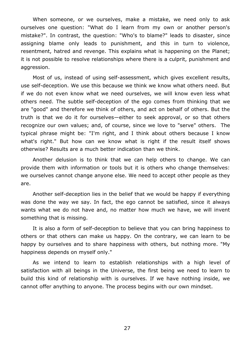When someone, or we ourselves, make a mistake, we need only to ask ourselves one question: "What do I learn from my own or another person's mistake?". In contrast, the question: "Who's to blame?" leads to disaster, since assigning blame only leads to punishment, and this in turn to violence, resentment, hatred and revenge. This explains what is happening on the Planet; it is not possible to resolve relationships where there is a culprit, punishment and aggression.

Most of us, instead of using self-assessment, which gives excellent results, use self-deception. We use this because we think we know what others need. But if we do not even know what we need ourselves, we will know even less what others need. The subtle self-deception of the ego comes from thinking that we are "good" and therefore we think of others, and act on behalf of others. But the truth is that we do it for ourselves—either to seek approval, or so that others recognize our own values; and, of course, since we love to "serve" others. The typical phrase might be: "I'm right, and I think about others because I know what's right." But how can we know what is right if the result itself shows otherwise? Results are a much better indication than we think.

Another delusion is to think that we can help others to change. We can provide them with information or tools but it is others who change themselves: we ourselves cannot change anyone else. We need to accept other people as they are.

Another self-deception lies in the belief that we would be happy if everything was done the way we say. In fact, the ego cannot be satisfied, since it always wants what we do not have and, no matter how much we have, we will invent something that is missing.

It is also a form of self-deception to believe that you can bring happiness to others or that others can make us happy. On the contrary, we can learn to be happy by ourselves and to share happiness with others, but nothing more. "My happiness depends on myself only."

As we intend to learn to establish relationships with a high level of satisfaction with all beings in the Universe, the first being we need to learn to build this kind of relationship with is ourselves. If we have nothing inside, we cannot offer anything to anyone. The process begins with our own mindset.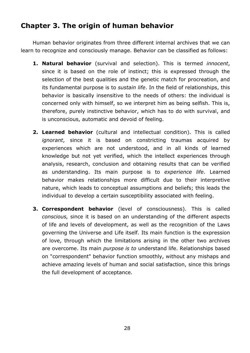# **Chapter 3. The origin of human behavior**

Human behavior originates from three different internal archives that we can learn to recognize and consciously manage. Behavior can be classified as follows:

- **1. Natural behavior** (survival and selection). This is termed *innocent*, since it is based on the role of instinct; this is expressed through the selection of the best qualities and the genetic match for procreation, and its fundamental purpose is to *sustain life*. In the field of relationships, this behavior is basically insensitive to the needs of others: the individual is concerned only with himself, so we interpret him as being selfish. This is, therefore, purely instinctive behavior, which has to do with survival, and is unconscious, automatic and devoid of feeling.
- **2. Learned behavior** (cultural and intellectual condition). This is called *ignorant*, since it is based on constricting traumas acquired by experiences which are not understood, and in all kinds of learned knowledge but not yet verified, which the intellect experiences through analysis, research, conclusion and obtaining results that can be verified as understanding. Its main purpose is to *experience life*. Learned behavior makes relationships more difficult due to their interpretive nature, which leads to conceptual assumptions and beliefs; this leads the individual to develop a certain susceptibility associated with feeling.
- **3. Correspondent behavior** (level of consciousness). This is called *conscious,* since it is based on an understanding of the different aspects of life and levels of development, as well as the recognition of the Laws governing the Universe and Life itself. Its main function is the expression of love, through which the limitations arising in the other two archives are overcome. Its main *purpose is to* understand life. Relationships based on "correspondent" behavior function smoothly, without any mishaps and achieve amazing levels of human and social satisfaction, since this brings the full development of acceptance.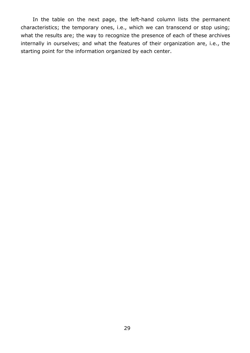In the table on the next page, the left-hand column lists the permanent characteristics; the temporary ones, i.e., which we can transcend or stop using; what the results are; the way to recognize the presence of each of these archives internally in ourselves; and what the features of their organization are, i.e., the starting point for the information organized by each center.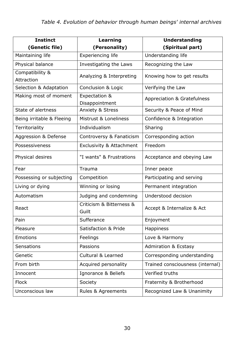| <b>Instinct</b>           | Learning                            | <b>Understanding</b>                   |
|---------------------------|-------------------------------------|----------------------------------------|
| (Genetic file)            | (Personality)                       | (Spiritual part)                       |
| Maintaining life          | <b>Experiencing life</b>            | Understanding life                     |
| Physical balance          | Investigating the Laws              | Recognizing the Law                    |
| Compatibility &           | Analyzing & Interpreting            | Knowing how to get results             |
| Attraction                |                                     |                                        |
| Selection & Adaptation    | Conclusion & Logic                  | Verifying the Law                      |
| Making most of moment     | Expectation &<br>Disappointment     | <b>Appreciation &amp; Gratefulness</b> |
| State of alertness        | <b>Anxiety &amp; Stress</b>         | Security & Peace of Mind               |
| Being irritable & Fleeing | Mistrust & Loneliness               | Confidence & Integration               |
| Territoriality            | Individualism                       | Sharing                                |
| Aggression & Defense      | Controversy & Fanaticism            | Corresponding action                   |
| Possessiveness            | <b>Exclusivity &amp; Attachment</b> | Freedom                                |
| Physical desires          | "I wants" & Frustrations            | Acceptance and obeying Law             |
| Fear                      | Trauma                              | Inner peace                            |
| Possessing or subjecting  | Competition                         | Participating and serving              |
| Living or dying           | Winning or losing                   | Permanent integration                  |
| Automatism                | Judging and condemning              | Understood decision                    |
| React                     | Criticism & Bitterness &<br>Guilt   | Accept & Internalize & Act             |
| Pain                      | Sufferance                          | Enjoyment                              |
| Pleasure                  | Satisfaction & Pride                | <b>Happiness</b>                       |
| <b>Emotions</b>           | Feelings                            | Love & Harmony                         |
| <b>Sensations</b>         | Passions                            | <b>Admiration &amp; Ecstasy</b>        |
| Genetic                   | <b>Cultural &amp; Learned</b>       | Corresponding understanding            |
| From birth                | Acquired personality                | Trained consciousness (internal)       |
| Innocent                  | Ignorance & Beliefs                 | Verified truths                        |
| <b>Flock</b>              | Society                             | Fraternity & Brotherhood               |
| Unconscious law           | Rules & Agreements                  | Recognized Law & Unanimity             |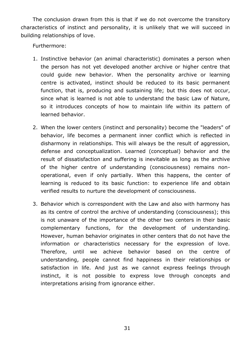The conclusion drawn from this is that if we do not overcome the transitory characteristics of instinct and personality, it is unlikely that we will succeed in building relationships of love.

Furthermore:

- 1. Instinctive behavior (an animal characteristic) dominates a person when the person has not yet developed another archive or higher centre that could guide new behavior. When the personality archive or learning centre is activated, instinct should be reduced to its basic permanent function, that is, producing and sustaining life; but this does not occur, since what is learned is not able to understand the basic Law of Nature, so it introduces concepts of how to maintain life within its pattern of learned behavior.
- 2. When the lower centers (instinct and personality) become the "leaders" of behavior, life becomes a permanent inner conflict which is reflected in disharmony in relationships. This will always be the result of aggression, defense and conceptualization. Learned (conceptual) behavior and the result of dissatisfaction and suffering is inevitable as long as the archive of the higher centre of understanding (consciousness) remains nonoperational, even if only partially. When this happens, the center of learning is reduced to its basic function: to experience life and obtain verified results to nurture the development of consciousness.
- 3. Behavior which is correspondent with the Law and also with harmony has as its centre of control the archive of understanding (consciousness); this is not unaware of the importance of the other two centers in their basic complementary functions, for the development of understanding. However, human behavior originates in other centers that do not have the information or characteristics necessary for the expression of love. Therefore, until we achieve behavior based on the centre of understanding, people cannot find happiness in their relationships or satisfaction in life. And just as we cannot express feelings through instinct, it is not possible to express love through concepts and interpretations arising from ignorance either.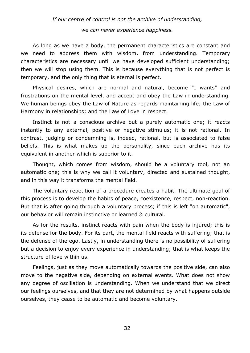# *If our centre of control is not the archive of understanding, we can never experience happiness.*

As long as we have a body, the permanent characteristics are constant and we need to address them with wisdom, from understanding. Temporary characteristics are necessary until we have developed sufficient understanding; then we will stop using them. This is because everything that is not perfect is temporary, and the only thing that is eternal is perfect.

Physical desires, which are normal and natural, become "I wants" and frustrations on the mental level, and accept and obey the Law in understanding. We human beings obey the Law of Nature as regards maintaining life; the Law of Harmony in relationships; and the Law of Love in respect.

Instinct is not a conscious archive but a purely automatic one; it reacts instantly to any external, positive or negative stimulus; it is not rational. In contrast, judging or condemning is, indeed, rational, but is associated to false beliefs. This is what makes up the personality, since each archive has its equivalent in another which is superior to it.

Thought, which comes from wisdom, should be a voluntary tool, not an automatic one; this is why we call it voluntary, directed and sustained thought, and in this way it transforms the mental field.

The voluntary repetition of a procedure creates a habit. The ultimate goal of this process is to develop the habits of peace, coexistence, respect, non-reaction. But that is after going through a voluntary process; if this is left "on automatic", our behavior will remain instinctive or learned & cultural.

As for the results, instinct reacts with pain when the body is injured; this is its defense for the body. For its part, the mental field reacts with suffering; that is the defense of the ego. Lastly, in understanding there is no possibility of suffering but a decision to enjoy every experience in understanding; that is what keeps the structure of love within us.

Feelings, just as they move automatically towards the positive side, can also move to the negative side, depending on external events. What does not show any degree of oscillation is understanding. When we understand that we direct our feelings ourselves, and that they are not determined by what happens outside ourselves, they cease to be automatic and become voluntary.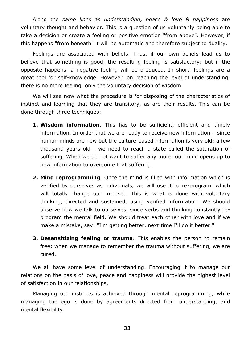Along the *same lines as understanding, peace & love & happiness* are voluntary thought and behavior. This is a question of us voluntarily being able to take a decision or create a feeling or positive emotion "from above". However, if this happens "from beneath" it will be automatic and therefore subject to duality.

Feelings are associated with beliefs. Thus, if our own beliefs lead us to believe that something is good, the resulting feeling is satisfactory; but if the opposite happens, a negative feeling will be produced. In short, feelings are a great tool for self-knowledge. However, on reaching the level of understanding, there is no more feeling, only the voluntary decision of wisdom.

We will see now what the procedure is for disposing of the characteristics of instinct and learning that they are transitory, as are their results. This can be done through three techniques:

- **1. Wisdom information**. This has to be sufficient, efficient and timely information. In order that we are ready to receive new information —since human minds are new but the culture-based information is very old; a few thousand years old— we need to reach a state called the saturation of suffering. When we do not want to suffer any more, our mind opens up to new information to overcome that suffering.
- **2. Mind reprogramming**. Once the mind is filled with information which is verified by ourselves as individuals, we will use it to re-program, which will totally change our mindset. This is what is done with voluntary thinking, directed and sustained, using verified information. We should observe how we talk to ourselves, since verbs and thinking constantly reprogram the mental field. We should treat each other with love and if we make a mistake, say: "I'm getting better, next time I'll do it better."
- **3. Desensitizing feeling or trauma**. This enables the person to remain free: when we manage to remember the trauma without suffering, we are cured.

We all have some level of understanding. Encouraging it to manage our relations on the basis of love, peace and happiness will provide the highest level of satisfaction in our relationships.

Managing our instincts is achieved through mental reprogramming, while managing the ego is done by agreements directed from understanding, and mental flexibility.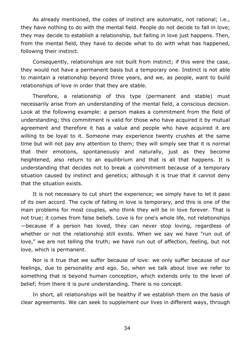As already mentioned, the codes of instinct are automatic, not rational; i.e., they have nothing to do with the mental field. People do not decide to fall in love; they may decide to establish a relationship, but falling in love just happens. Then, from the mental field, they have to decide what to do with what has happened, following their instinct.

Consequently, relationships are not built from instinct; if this were the case, they would not have a permanent basis but a temporary one. Instinct is not able to maintain a relationship beyond three years, and we, as people, want to build relationships of love in order that they are stable.

Therefore, a relationship of this type (permanent and stable) must necessarily arise from an understanding of the mental field, a conscious decision. Look at the following example: a person makes a commitment from the field of understanding; this commitment is valid for those who have acquired it by mutual agreement and therefore it has a value and people who have acquired it are willing to be loyal to it. Someone may experience twenty crushes at the same time but will not pay any attention to them; they will simply see that it is normal that their emotions, spontaneously and naturally, just as they become heightened, also return to an equilibrium and that is all that happens. It is understanding that decides not to break a commitment because of a temporary situation caused by instinct and genetics; although it is true that it cannot deny that the situation exists.

It is not necessary to cut short the experience; we simply have to let it pass of its own accord. The cycle of falling in love is temporary, and this is one of the main problems for most couples, who think they will be in love forever. That is not true; it comes from false beliefs. Love is for one's whole life, not relationships —because if a person has loved, they can never stop loving, regardless of whether or not the relationship still exists. When we say we have "run out of love," we are not telling the truth; we have run out of affection, feeling, but not love, which is permanent.

Nor is it true that we suffer because of love: we only suffer because of our feelings, due to personality and ego. So, when we talk about love we refer to something that is beyond human conception, which extends only to the level of belief; from there it is pure understanding. There is no concept.

In short, all relationships will be healthy if we establish them on the basis of clear agreements. We can seek to supplement our lives in different ways, through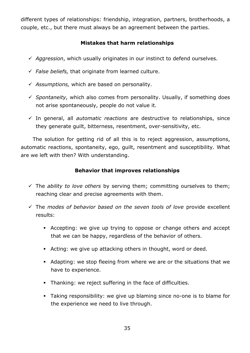different types of relationships: friendship, integration, partners, brotherhoods, a couple, etc., but there must always be an agreement between the parties.

## **Mistakes that harm relationships**

- *Aggression*, which usually originates in our instinct to defend ourselves.
- *False beliefs,* that originate from learned culture.
- *Assumptions,* which are based on personality.
- *Spontaneity,* which also comes from personality. Usually, if something does not arise spontaneously, people do not value it.
- In general, all *automatic reactions* are destructive to relationships, since they generate guilt, bitterness, resentment, over-sensitivity, etc.

The solution for getting rid of all this is to reject aggression, assumptions, automatic reactions, spontaneity, ego, guilt, resentment and susceptibility. What are we left with then? With understanding.

## **Behavior that improves relationships**

- The *ability to love others* by serving them; committing ourselves to them; reaching clear and precise agreements with them.
- The *modes of behavior based on the seven tools of love* provide excellent results:
	- Accepting: we give up trying to oppose or change others and accept that we can be happy, regardless of the behavior of others.
	- Acting: we give up attacking others in thought, word or deed.
	- Adapting: we stop fleeing from where we are or the situations that we have to experience.
	- Thanking: we reject suffering in the face of difficulties.
	- Taking responsibility: we give up blaming since no-one is to blame for the experience we need to live through.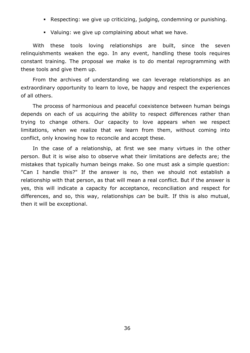- Respecting: we give up criticizing, judging, condemning or punishing.
- Valuing: we give up complaining about what we have.

With these tools loving relationships are built, since the seven relinquishments weaken the ego. In any event, handling these tools requires constant training. The proposal we make is to do mental reprogramming with these tools and give them up.

From the archives of understanding we can leverage relationships as an extraordinary opportunity to learn to love, be happy and respect the experiences of all others.

The process of harmonious and peaceful coexistence between human beings depends on each of us acquiring the ability to respect differences rather than trying to change others. Our capacity to love appears when we respect limitations, when we realize that we learn from them, without coming into conflict, only knowing how to reconcile and accept these.

In the case of a relationship, at first we see many virtues in the other person. But it is wise also to observe what their limitations are defects are; the mistakes that typically human beings make. So one must ask a simple question: "Can I handle this?" If the answer is no, then we should not establish a relationship with that person, as that will mean a real conflict. But if the answer is yes, this will indicate a capacity for acceptance, reconciliation and respect for differences, and so, this way, relationships *can* be built. If this is also mutual, then it will be exceptional.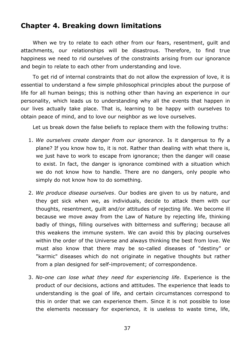## **Chapter 4. Breaking down limitations**

When we try to relate to each other from our fears, resentment, guilt and attachments, our relationships will be disastrous. Therefore, to find true happiness we need to rid ourselves of the constraints arising from our ignorance and begin to relate to each other from understanding and love.

To get rid of internal constraints that do not allow the expression of love, it is essential to understand a few simple philosophical principles about the purpose of life for all human beings; this is nothing other than having an experience in our personality, which leads us to understanding why all the events that happen in our lives actually take place. That is, learning to be happy with ourselves to obtain peace of mind, and to love our neighbor as we love ourselves.

Let us break down the false beliefs to replace them with the following truths:

- 1. *We ourselves create danger from our ignorance*. Is it dangerous to fly a plane? If you know how to, it is not. Rather than dealing with what there is, we just have to work to escape from ignorance; then the danger will cease to exist. In fact, the danger is ignorance combined with a situation which we do not know how to handle. There are no dangers, only people who simply do not know how to do something.
- 2. *We produce disease ourselves*. Our bodies are given to us by nature, and they get sick when we, as individuals, decide to attack them with our thoughts, resentment, guilt and/or attitudes of rejecting life. We become ill because we move away from the Law of Nature by rejecting life, thinking badly of things, filling ourselves with bitterness and suffering; because all this weakens the immune system. We can avoid this by placing ourselves within the order of the Universe and always thinking the best from love. We must also know that there may be so-called diseases of "destiny" or "karmic" diseases which do not originate in negative thoughts but rather from a plan designed for self-improvement; of correspondence.
- 3. *No-one can lose what they need for experiencing life*. Experience is the product of our decisions, actions and attitudes. The experience that leads to understanding is the goal of life, and certain circumstances correspond to this in order that we can experience them. Since it is not possible to lose the elements necessary for experience, it is useless to waste time, life,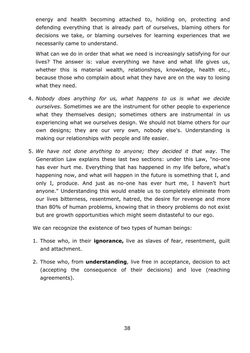energy and health becoming attached to, holding on, protecting and defending everything that is already part of ourselves, blaming others for decisions we take, or blaming ourselves for learning experiences that we necessarily came to understand.

What can we do in order that what we need is increasingly satisfying for our lives? The answer is: value everything we have and what life gives us, whether this is material wealth, relationships, knowledge, health etc., because those who complain about what they have are on the way to losing what they need.

- 4. *Nobody does anything for us, what happens to us is what we decide ourselves*. Sometimes we are the instrument for other people to experience what they themselves design; sometimes others are instrumental in us experiencing what we ourselves design. We should not blame others for our own designs; they are our very own, nobody else's. Understanding is making our relationships with people and life easier.
- 5. *We have not done anything to anyone; they decided it that way*. The Generation Law explains these last two sections: under this Law, "no-one has ever hurt me. Everything that has happened in my life before, what's happening now, and what will happen in the future is something that I, and only I, produce. And just as no-one has ever hurt me, I haven't hurt anyone." Understanding this would enable us to completely eliminate from our lives bitterness, resentment, hatred, the desire for revenge and more than 80% of human problems, knowing that in theory problems do not exist but are growth opportunities which might seem distasteful to our ego.

We can recognize the existence of two types of human beings:

- 1. Those who, in their **ignorance,** live as slaves of fear, resentment, guilt and attachment.
- 2. Those who, from **understanding**, live free in acceptance, decision to act (accepting the consequence of their decisions) and love (reaching agreements).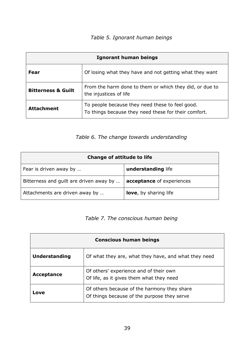# *Table 5. Ignorant human beings*

| Ignorant human beings         |                                                                                                         |  |
|-------------------------------|---------------------------------------------------------------------------------------------------------|--|
| Fear                          | Of losing what they have and not getting what they want                                                 |  |
| <b>Bitterness &amp; Guilt</b> | From the harm done to them or which they did, or due to<br>the injustices of life                       |  |
| <b>Attachment</b>             | To people because they need these to feel good.<br>To things because they need these for their comfort. |  |

*Table 6. The change towards understanding*

| Change of attitude to life              |                               |  |
|-----------------------------------------|-------------------------------|--|
| Fear is driven away by                  | understanding life            |  |
| Bitterness and guilt are driven away by | acceptance of experiences     |  |
| Attachments are driven away by          | <b>love</b> , by sharing life |  |

## *Table 7. The conscious human being*

| <b>Conscious human beings</b> |                                                                                            |
|-------------------------------|--------------------------------------------------------------------------------------------|
| <b>Understanding</b>          | Of what they are, what they have, and what they need                                       |
| Acceptance                    | Of others' experience and of their own<br>Of life, as it gives them what they need         |
| Love                          | Of others because of the harmony they share<br>Of things because of the purpose they serve |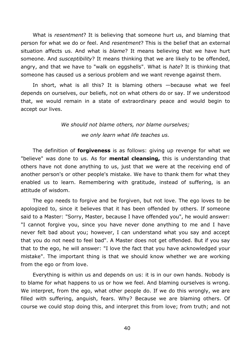What is *resentment*? It is believing that someone hurt us, and blaming that person for what we do or feel. And *resentment*? This is the belief that an external situation affects us. And what is *blame*? It means believing that we have hurt someone. And *susceptibility*? It means thinking that we are likely to be offended, angry, and that we have to "walk on eggshells". What is *hate*? It is thinking that someone has caused us a serious problem and we want revenge against them.

In short, what is all this? It is blaming others —because what we feel depends on ourselves, our beliefs, not on what others do or say. If we understood that, we would remain in a state of extraordinary peace and would begin to accept our lives.

# *We should not blame others, nor blame ourselves; we only learn what life teaches us.*

The definition of **forgiveness** is as follows: giving up revenge for what we "believe" was done to us. As for **mental cleansing,** this is understanding that others have not done anything to us, just that we were at the receiving end of another person's or other people's mistake. We have to thank them for what they enabled us to learn. Remembering with gratitude, instead of suffering, is an attitude of wisdom.

The ego needs to forgive and be forgiven, but not love. The ego loves to be apologized to, since it believes that it has been offended by others. If someone said to a Master: "Sorry, Master, because I have offended you", he would answer: "I cannot forgive you, since you have never done anything to me and I have never felt bad about you; however, I can understand what you say and accept that you do not need to feel bad". A Master does not get offended. But if you say that to the ego, he will answer: "I love the fact that you have acknowledged your mistake". The important thing is that we should know whether we are working from the ego or from love.

Everything is within us and depends on us: it is in our own hands. Nobody is to blame for what happens to us or how we feel. And blaming ourselves is wrong. We interpret, from the ego, what other people do. If we do this wrongly, we are filled with suffering, anguish, fears. Why? Because we are blaming others. Of course we could stop doing this, and interpret this from love; from truth; and not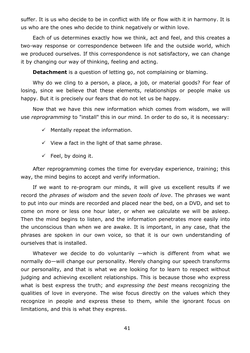suffer. It is us who decide to be in conflict with life or flow with it in harmony. It is us who are the ones who decide to think negatively or within love.

Each of us determines exactly how we think, act and feel, and this creates a two-way response or correspondence between life and the outside world, which we produced ourselves. If this correspondence is not satisfactory, we can change it by changing our way of thinking, feeling and acting.

**Detachment** is a question of letting go, not complaining or blaming.

Why do we cling to a person, a place, a job, or material goods? For fear of losing, since we believe that these elements, relationships or people make us happy. But it is precisely our fears that do not let us be happy.

Now that we have this new information which comes from wisdom, we will use *reprogramming* to "install" this in our mind. In order to do so, it is necessary:

- $\checkmark$  Mentally repeat the information.
- $\checkmark$  View a fact in the light of that same phrase.
- $\checkmark$  Feel, by doing it.

After reprogramming comes the time for everyday experience, training; this way, the mind begins to accept and verify information.

If we want to re-program our minds, it will give us excellent results if we record the *phrases of wisdom* and the *seven tools of love*. The phrases we want to put into our minds are recorded and placed near the bed, on a DVD, and set to come on more or less one hour later, or when we calculate we will be asleep. Then the mind begins to listen, and the information penetrates more easily into the unconscious than when we are awake. It is important, in any case, that the phrases are spoken in our own voice, so that it is our own understanding of ourselves that is installed.

Whatever we decide to do voluntarily —which is different from what we normally do—will change our personality. Merely changing our speech transforms our personality, and that is what we are looking for to learn to respect without judging and achieving excellent relationships. This is because those who express what is best express the truth; and *expressing the best* means recognizing the qualities of love in everyone. The wise focus directly on the values which they recognize in people and express these to them, while the ignorant focus on limitations, and this is what they express.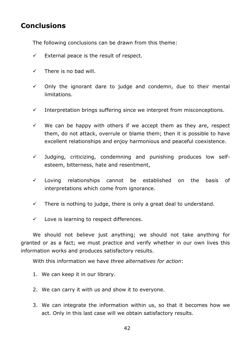# **Conclusions**

The following conclusions can be drawn from this theme:

- $\checkmark$  External peace is the result of respect.
- $\checkmark$  There is no bad will.
- $\checkmark$  Only the ignorant dare to judge and condemn, due to their mental limitations.
- $\checkmark$  Interpretation brings suffering since we interpret from misconceptions.
- $\checkmark$  We can be happy with others if we accept them as they are, respect them, do not attack, overrule or blame them; then it is possible to have excellent relationships and enjoy harmonious and peaceful coexistence.
- $\checkmark$  Judging, criticizing, condemning and punishing produces low selfesteem, bitterness, hate and resentment,
- $\checkmark$  Loving relationships cannot be established on the basis of interpretations which come from ignorance.
- $\checkmark$  There is nothing to judge, there is only a great deal to understand.
- $\checkmark$  Love is learning to respect differences.

We should not believe just anything; we should not take anything for granted or as a fact; we must practice and verify whether in our own lives this information works and produces satisfactory results.

With this information we have *three alternatives for action*:

- 1. We can keep it in our library.
- 2. We can carry it with us and show it to everyone.
- 3. We can integrate the information within us, so that it becomes how we act. Only in this last case will we obtain satisfactory results.